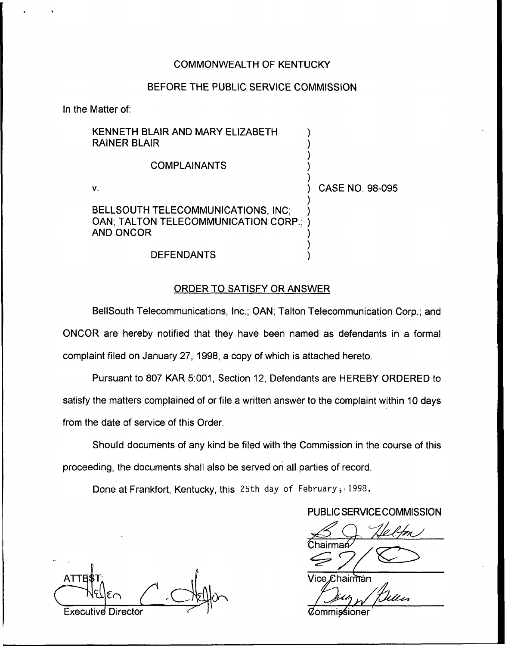# COMMONWEALTH OF KENTUCKY

# BEFORE THE PUBLIC SERVICE COMMISSION

In the Matter of:

| KENNETH BLAIR AND MARY ELIZABETH<br><b>RAINER BLAIR</b>                                          |                 |
|--------------------------------------------------------------------------------------------------|-----------------|
| <b>COMPLAINANTS</b>                                                                              |                 |
| V.                                                                                               | CASE NO. 98-095 |
| BELLSOUTH TELECOMMUNICATIONS, INC:<br>OAN; TALTON TELECOMMUNICATION CORP.; )<br><b>AND ONCOR</b> |                 |
| <b>DEFENDANTS</b>                                                                                |                 |

# ORDER TO SATISFY OR ANSWER

BellSouth Telecommunications, Inc.; OAN; Talton Telecommunication Corp.; and ONCOR are hereby notified that they have been named as defendants in a formal complaint filed on January 27, 1998, a copy of which is attached hereto.

Pursuant to 807 KAR 5:001, Section 12, Defendants are HEREBY ORDERED to satisfy the matters complained of or file a written answer to the complaint within 10 days from the date of service of this Order.

Should documents of any kind be filed with the Commission in the course of this proceeding, the documents shall also be served on all parties of record.

Done at Frankfort, Kentucky, this 25th day of February; 1998.

# PUBLIC SERVICE COMMISSION

 $89$  Helfon Chairma

ATTE >T irrliTan Executive Director **Commissioner** Commissioner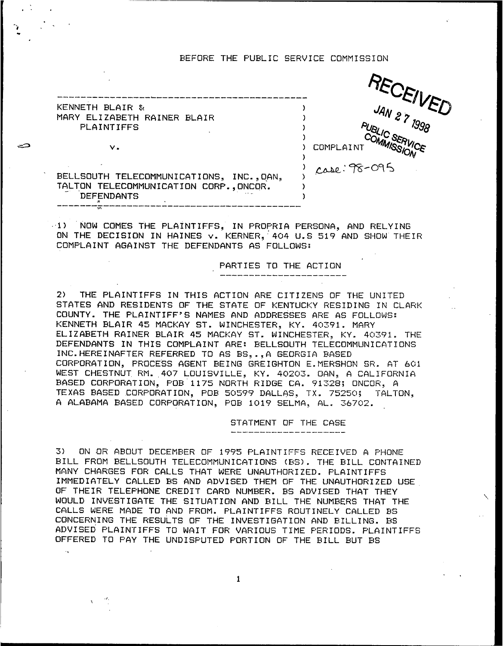## BEFORE THE PUBLIC SERVICE COMMISSION



 $\vee$ . BELLSOUTH TELECOMMUNICATIONS, INC., OAN, TALTON TELECOMMUNICATION CORP., ONCOR.

KENNETH BLAIR &

**PLAINTIFFS** 

**DEFENDANTS** 

MARY ELIZABETH RAINER BLAIR

1) NOW COMES THE PLAINTIFFS, IN PROPRIA PERSONA, AND RELYING ON THE DECISION IN HAINES v. KERNER, 404 U.S 519 AND SHOW THEIR COMPLAINT AGAINST THE DEFENDANTS AS FOLLOWS:

## PARTIES TO THE ACTION

 $2)$ THE PLAINTIFFS IN THIS ACTION ARE CITIZENS OF THE UNITED STATES AND RESIDENTS OF THE STATE OF KENTUCKY RESIDING IN CLARK COUNTY. THE PLAINTIFF'S NAMES AND ADDRESSES ARE AS FOLLOWS: KENNETH BLAIR 45 MACKAY ST. WINCHESTER, KY. 40391. MARY ELIZABETH RAINER BLAIR 45 MACKAY ST. WINCHESTER, KY. 40391. THE DEFENDANTS IN THIS COMPLAINT ARE: BELLSOUTH TELECOMMUNICATIONS INC.HEREINAFTER REFERRED TO AS BS...A GEORGIA BASED CORPORATION, PROCESS AGENT BEING GREIGHTON E. MERSHON SR. AT 601 WEST CHESTNUT RM. 407 LOUISVILLE, KY. 40203. OAN, A CALIFORNIA BASED CORFORATION, FOB 1175 NORTH RIDGE CA. 91328; ONCOR, A TEXAS BASED CORPORATION, POB 50599 DALLAS, TX. 75250; TALTON, A ALABAMA BASED CORPORATION, POB 1019 SELMA, AL. 36702.

STATMENT OF THE CASE

ON OR ABOUT DECEMBER OF 1995 PLAINTIFFS RECEIVED A PHONE  $3)$ BILL FROM BELLSOUTH TELECOMMUNICATIONS (BS). THE BILL CONTAINED MANY CHARGES FOR CALLS THAT WERE UNAUTHORIZED. PLAINTIFFS IMMEDIATELY CALLED BS AND ADVISED THEM OF THE UNAUTHORIZED USE OF THEIR TELEPHONE CREDIT CARD NUMBER. BS ADVISED THAT THEY WOULD INVESTIGATE THE SITUATION AND BILL THE NUMBERS THAT THE CALLS WERE MADE TO AND FROM. PLAINTIFFS ROUTINELY CALLED BS CONCERNING THE RESULTS OF THE INVESTIGATION AND BILLING. BS ADVISED PLAINTIFFS TO WAIT FOR VARIOUS TIME PERIODS. PLAINTIFFS OFFERED TO PAY THE UNDISPUTED PORTION OF THE BILL BUT BS

 $\mathbf{1}$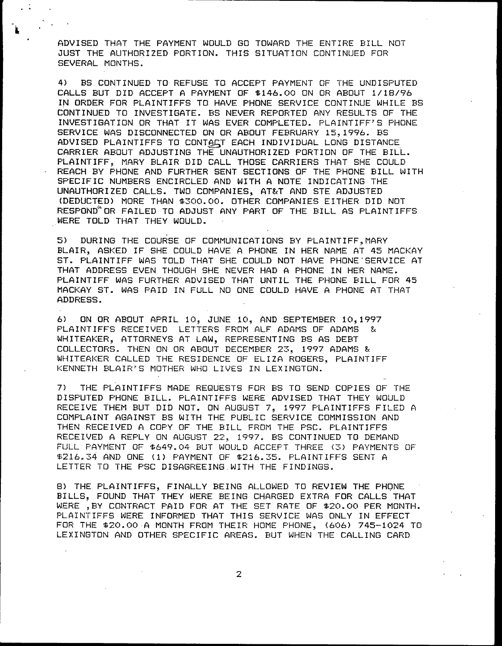ADVISED THAT THE PAYMENT WOULD GQ TOWARD THF ENTIRE BILL NGT JUST THE AUTHORIZED PORTION. THIS SITUATION CONTINUED FQR SEVERAL MONTHS.

4) BS CONTINUED TO REFUSE TQ ACCEPT PAYMENT GF THE UNDISPUTED CALLS BUT DID ACCEPT A PAYMENT OF \$146.00 ON OR ABOUT 1/18/96 IN ORDER FOR PLAINTIFFS TG HAVE PHONE SERVICE CONTINUE WHILE BS CONTINUED TQ INVESTIGATE. BS NEVER REPORTED ANY RESULTS OF THE INVESTIGATION OR THAT IT WAS EVER COMPLETED. PLAINTIFF'S PHONE SERVICE WAS DISCONNECTED ON OR ABOUT FEBRUARY 15,1996. BS ADVISED PLAINTIFFS TO CONTACT EACH INDIVIDUAL LONG DISTANCE CARRIER ABOUT ADJUSTING THE UNAUTHORIZED PORTION OF THE BILL. PLAINTIFF, MARY BLAIR DID CALL THOSE CARRIERS THAT SHE COULD REACH BY PHONE AND FURTHER SENT SECTIONS QF THE PHONE BILL WITH SPECIFIC NUMBERS ENCIRCLED AND WITH A NOTE INDICATING THE UNAUTHORIZED CALLS. TWO COMPANIES, AT&T AND STE ADJUSTED (DEDUCTED) MORE THAN \$300.00. OTHER COMPANIES EITHER DID NOT RESPOND OR FAILED TO ADJUST ANY PART OF THE BILL AS PLAINTIFFS WERE TOLD THAT THEY WOULD.

5) DURING THE COURSE GF COMMUNICATIONS BY PLAINTIFF, MARY BLAIR, ASKED IF SHE COULD HAVE <sup>A</sup> PHONE IN HER NAME AT 45 MACKAY ST. PLAINTIFF WAS TOLD THAT SHE COULD NGT HAVE PHONE'SERVICE AT THAT ADDRESS EVEN THOUGH SHE NEVER HAD A PHONE IN HER NAMF. PLAINTIFF WAS FURTHER ADVISED THAT UNTIL THE PHONE BILL FOR 45 MACKAY ST. WAS PAID IN FULL NQ GNE COULD HAVE <sup>A</sup> PHONE AT THAT ADDRESS.

6) ON OR ABOUT AFRIL 10, JUNE 10, AND SEPTEMBER 10,1997 PLAINTIFFS RECEIVED LETTERS FROM ALF ADAMS OF ADAMS & WHITEAKER, ATTORNEYS AT LAW, REPRESENTINB BS AS DEBT COLLECTORS. THEN ON OR ABOUT DECEMBER 23, 1997 ADAMS & MHITEAKER CALLED THE RESIDENCE GF ELIZA ROGERS, PLAINTIFF 'KENNETH BLAIR'S MOTHER WHO LIVES IN LEXINGTON

7) THE PLAINTIFFS MADE REQUESTS FGR BS TO SEND COPIES OF THE DISPUTED PHONE BILL. PLAINTIFFS WERE ADVISED THAT THEY WOULD RECEIVE THEM BUT DID NOT, ON AUGUST 7, 1997 PLAINTIFFS FILED A COMPLAINT AGAINST BS WITH THE PUBLIC SERVICE COMMISSION AND THEN RECEIVED <sup>A</sup> COPY OF THE BILL FROM THE PSC. PLAINTIFFS RECEIVED A REPLY ON AUGUST 22, 1997. BS CONTINUED TO DEMAND FULL PAYMENT OF \$649.04 BUT WOULD ACCEPT THREE (3) PAYMENTS OF \$216.34 AND ONE (1) PAYMENT OF \$216.35. PLAINTIFFS SENT A LETTER TO THE PSC DISAGREEING. WITH THE FINDINGS.

8) THE PLAINTIFFS, FINALLY BEING ALLOWED TG REVIEW THE PHONE BILLS, FOUND THAT THEY WERE BEING CHARGED EXTRA FOR CALLS THAT WERE ,BY CONTRACT PAID FOR AT THE SET RATE OF \$20.00 PER MONTH. PLAINTIFFS WERE INFORMED THAT THIS SERVICE WAS ONLY IN EFFECT FOR THE \$20.00 A MONTH FROM THEIR HOME PHONE, (606) 745-1024 TO LEXINGTON AND OTHER SPECIFIC AREAS. BUT WHEN THE CALLING CARD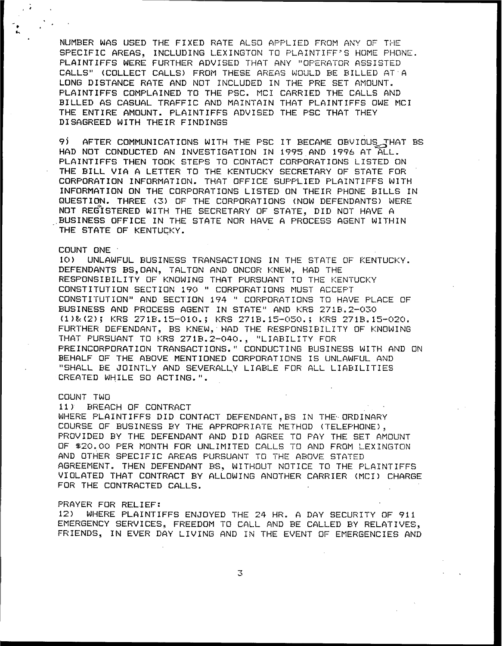NUMBER WAS USED THE FIXED RATE ALSO APPLIED FROM ANY OF THE SPECIFIC AREAS, INCLUDING LEXINGTON TO PLAINTIFF'S HOME PHONE. PLAINTIFFS WERE FURTHER ADVISED THAT ANY "OFERATOR ASSISTED CALLS" (COLLECT CALLS) FROM THESE AREAS WOULD BE BILLED AT A LONG DISTANCE RATE AND NOT INCLUDED IN THE PRE SET AMOUNT. PLAINTIFFS CQNPLAINED TQ THE PSC. NCI CARRIED THE CALLS AND BILLED AS CASUAL TRAFFIC AND MAINTAIN THAT PLAINTIFFS OWE MCI THE ENTIRE AMOUNT. PLAINTIFFS ADVISED THE PSC THAT THEY DISAGREED WITH THEIR FINDINGS

9) AFTER COMMUNICATIONS WITH THE PSC IT BECAME OBVIOUS THAT BS HAD NQT CONDLICTED AN INVESTIGATION IN 1995 AND 1996 AT ALL. PLAINTIFFS THEN TOOK STEPS TO CONTACT CORPORATIONS LISTED ON THE BILL VIA <sup>A</sup> LETTER TO THE KENTUCKY SECRETARY OF STATE FGR CORPORATION INFORMATION. THAT OFFICE SUPPLIED PLAINTIFFS WITH INFORMATION ON THE CORPORATIONS LISTED QN THEIR PHONE BILLS IN QUESTION. THREE (3) OF THE CORPORATIONS (NOW DEFENDANTS) WERE NQT REGISTERED WITH THE SECRETARY OF STATE, DID NOT HAVE <sup>A</sup> , BUSINESS GFF ICE IN THE STATE NQR HAVE <sup>A</sup> PRGCEBS AGENT WITHIN THE STATE OF KENTUCKY.

## COUNT ONE

10) UNLAWFUL BUSINESS TRANSACTIONS IN THE STATE OF KENTUCKY. DEFENDANTS BS, DAN, TALTON AND ONCOR KNEW, HAD THE RESPONSIBILITY OF KNOWlNG THAT PURSUANT TQ THE KENTUCKY CONSTITUTION SECTION 190 " CORPORATIONS MUST ACCEPT CONSTITUTION" AND SECTION 194 " CORPORATIONS TO HAVE PLACE OF BUSINESS AND PROCESS AGENT IN STATE" AND KRS 271B.2-030 (1)&(2); KRS 271B.15-010.; KRS 271B.15-050.; KRS 271B.15-020. FURTHER DEFENDANT, BS KNEW, HAD THE RESFONSIBILITY OF KNOWING THAT PURSUANT TO KRS 271B.2-040., "LIABILITY FOR PREINCORPGRATIGN TRANSACTIONS. " CONDUCTING BUSINESS WITH AND QN BEHALF QF THE ABOVE MENTIONED CQRPQRATICINB IB UNLAWFUL AND "SHALL BE JOINTLY AND SEVERALLY LIABLE FOR ALL LIABILITIES CREATED WHILE SO ACTING.".

COUNT TWO<br>11) BREACH OF CONTRACT

WHERE PLAINTIFFS DID CONTACT DEFENDANT, BS IN THE ORDINARY COURSE OF BUSINESS BY THE APPROPRIATE METHOD (TELEFHONE), PROVIDED BY THE DEFENDANT AND DID AGREE TO PAY THE BET AMOUNT OF \$20.00 PER MONTH FOR UNLIMITED CALLS TO AND FROM LEXINGTON AND OTHER SPECIFIC AREAS PURSUANT TO THE ABOVE STATED AGREEMENT. THEN DEFENDANT BS, WITHOUT NOTICE TQ THE PLAINTIFFS VIOLATED THAT CONTRACT BY ALLOWING ANOTHER CARRIER (MCI) CHARGE FOR THE CONTRACTED CALLS.

#### PRAYER FOR RELIEF:

12) WHERE PLAINTIFFS ENJOYED THE 24 HR. A DAY SECURITY OF 911 EMERGENCY SERVICES, FREEDOM TQ CALL AND BE CALLED BY RELATIVES, FRIENDS, IN EVER DAY LIVING AND IN THE EVENT OF EMERGENCIES AND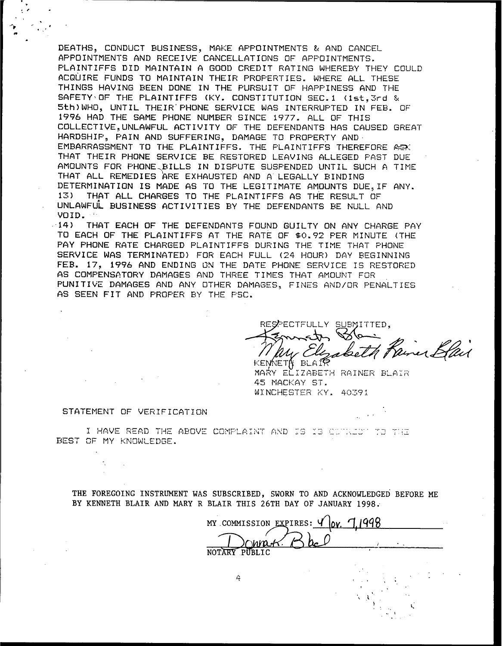DEATHS, CONDUCT BUSINESS, MAKE APPOINTMENTS & AND CANCEL APPOINTMENTS AND RECEIVE CANCELLATIONS OF APPOINTMENTS. PLAINTIFFS DID MAINTAIN A GOOD CREDIT RATING WHEREBY THEY COULD ACQUIRE FUNDS TO MAINTAIN THEIR PROPERTIES. WHERE ALL THESE THINGS HAVING BEEN DONE IN THE PURSUIT OF HAPPINESS AND THE SAFETY OF THE PLAINTIFFS (KY. CONSTITUTION SEC.1 (1st.3rd & 5th) WHO, UNTIL THEIR PHONE SERVICE WAS INTERRUPTED IN FEB. OF 1996 HAD THE SAME PHONE NUMBER SINCE 1977. ALL OF THIS COLLECTIVE.UNLAWFUL ACTIVITY OF THE DEFENDANTS HAS CAUSED GREAT HARDSHIP, PAIN AND SUFFERING, DAMAGE TO PROPERTY AND EMBARRASSMENT TO THE PLAINTIFFS. THE PLAINTIFFS THEREFORE ASY THAT THEIR PHONE SERVICE BE RESTORED LEAVING ALLEGED PAST DUE AMOUNTS FOR PHONE BILLS IN DISPUTE SUSPENDED UNTIL SUCH A TIME THAT ALL REMEDIES ARE EXHAUSTED AND A LEGALLY BINDING DETERMINATION IS MADE AS TO THE LEGITIMATE AMOUNTS DUE, IF ANY. THAT ALL CHARGES TO THE PLAINTIFFS AS THE RESULT OF  $13)$ UNLAWFUL BUSINESS ACTIVITIES BY THE DEFENDANTS BE NULL AND VOID.

 $-14$ ) THAT EACH OF THE DEFENDANTS FOUND GUILTY ON ANY CHARGE PAY TO EACH OF THE PLAINTIFFS AT THE RATE OF \$0.92 FER MINUTE (THE PAY PHONE RATE CHARGED PLAINTIFFS DURING THE TIME THAT PHONE SERVICE WAS TERMINATED) FOR EACH FULL (24 HOUR) DAY BEGINNING FEB. 17, 1996 AND ENDING ON THE DATE PHONE SERVICE IS RESTORED AS COMPENSATORY DAMAGES AND THREE TIMES THAT AMOUNT FOR PUNITIVE DAMAGES AND ANY OTHER DAMAGES, FINES AND/OR PENALTIES AS SEEN FIT AND PROPER BY THE PSC.

RESPECTFULLY SUBMITTED. amer Ban KEMNETA BLAIR

MARY ELIZABETH RAINER BLAIR 45 MACKAY ST. WINCHESTER KY, 40391

#### STATEMENT OF VERIFICATION

÷.

I HAVE READ THE ABOVE COMPLAINT AND IS IS COURSEUP TO THE BEST OF MY KNOWLEDGE.

THE FOREGOING INSTRUMENT WAS SUBSCRIBED, SWORN TO AND ACKNOWLEDGED BEFORE ME BY KENNETH BLAIR AND MARY R BLAIR THIS 26TH DAY OF JANUARY 1998.

MY COMMISSION EXPIRES: Y  $0x$ , 7 ∩nna. NOTARY PUBLIC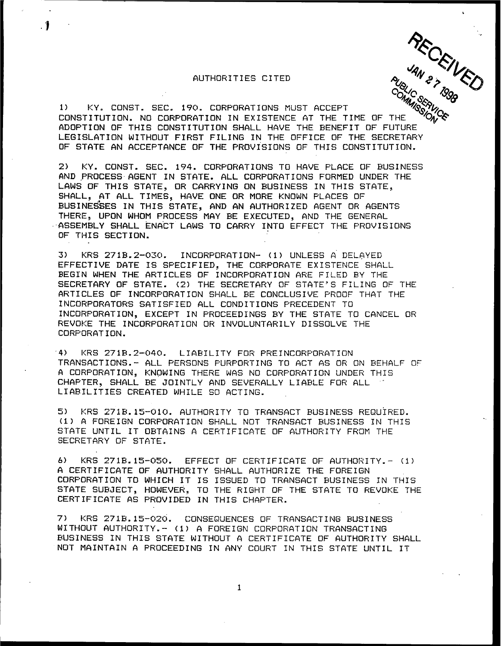## AUTHORITIES CITED

 $\cdot$  1

RECEWED

1) KY. CONST. BEC. 190. CORPORATIONS MUST ACCEPT CONSTITUTION. NG CORPORATION IN EXISTENCE AT THE TIME OF THE ADOPTION OF THIS CONSTITUTION SHALL HAVE THE 8ENEFIT OF FUTURE LEGISLATION WITHOUT FIRST FILING IN THE OFFICE OF THE SECRETARY OF STATE AN ACCEPTANCE OF THE PROVISIONS OF THIS CONSTITUTION.

2) KY. CONST. BEC. 194. CQRPQRATIGNB TG HAVE PLACE OF 8UBINESS AND PROCESS AGENT IN STATE. ALL CORPORATIONS FORMED UNDER THE LAWS OF THIS STATE, OR CARRYING ON BUSINESS IN THIS STATE, SHALL" AT ALL TIMES, HAVE ONE OR MORE KNOWN PLACES OF BUSINESSES IN THIS STATE, AND AN AUTHORIZED AGENT OR AGENTS THERE, UPON WHOM PROCESS MAY BE EXECUTED, AND THE GENERAL -'ASBEM8LY SHALL ENACT LAWS TG CARRY INTO EFFECT THE PROVISIONS OF THIS SECTION.

3) KRS 271B.2-030. INCORPORATION- (1) UNLESS A DELAYED EFFECTIVE DATE IS SPECIFIED, THE CORPORATE EXISTENCE SHALL BEGIN WHEN THE ARTICLES OF INCORPORATION ARE FILED 8Y THE SECRETARY OF STATE. (2) THE SECRETARY QF STATE" S FILING GF THE ARTICLES QF INCORPORATION SHALL 8E CONCLUSIVE PROOF THAT THE INCQRPORATORS BATIBFIED ALL CGNDITIONB PRECEDENT TG INCORPORATION, EXCEPT IN PROCEEDINGS 8Y THE STATE TO CANCEL QR REVOKE THE INCORPORATION OR INVOLUNTARILY DISSOLVE THE CORPORATION.

'4) KRB 2718.2-040. LIABILITY FGR PREINCGRPGRATIGN TRANSACTIONS. - ALL PERSONS PURPORTING TO ACT AS OR ON BEHALF OF A CORPORATION, KNOWING THERE WAS NO CORPORATION UNDER THIS CHAPTER, SHALL 8E JOINTLY AND SEVERALLY LIABLE FGR ALL LIABILITIES CREATED WHILE SO ACTING.

5) KRS 2718. 15-010. AUTHORITY TO TRANSACT 8USINESS REQUIRED. (1) <sup>A</sup> FOREIGN CORPORATION SHALL NGT TRANSACT 8UBINESS IN THIS STATE UNTIL IT 08TAINS <sup>A</sup> CERTIFICATE QF AUTHORITY FROM THE SECRETARY OF STATE.

6) KRS 2718. 15-050. EFFECT OF CERTIFICATE OF AUTHORITY. - (1) <sup>A</sup> CERTIFICATE OF AUTHORITY SHALL AUTHORIZE THE FOREIGN CORPORATION TQ WHICH IT IS ISSUED TQ TRANSACT 8USINESS IN THIS STATE SUBJECT, HOWEVER, TO THE RIGHT OF THE STATE TO REVOKE THE CERTIFICATE AS PROVIDED IN THIS CHAPTER.

7) KRS 2718. 15-020. CONSEQUENCES QF TRANSACTINB BUSINESS WITHOUT AUTHORITY.— (1) <sup>A</sup> FOREIGN CORPORATION TRANSACTINB BUSINESS IN THIS STATE WITHOUT <sup>A</sup> CERTIFICATE GF AUTHORITY SHALL NQT MAINTAIN <sup>A</sup> PROCEEDING IN ANY COURT 1N THIB STATE UNTIL IT